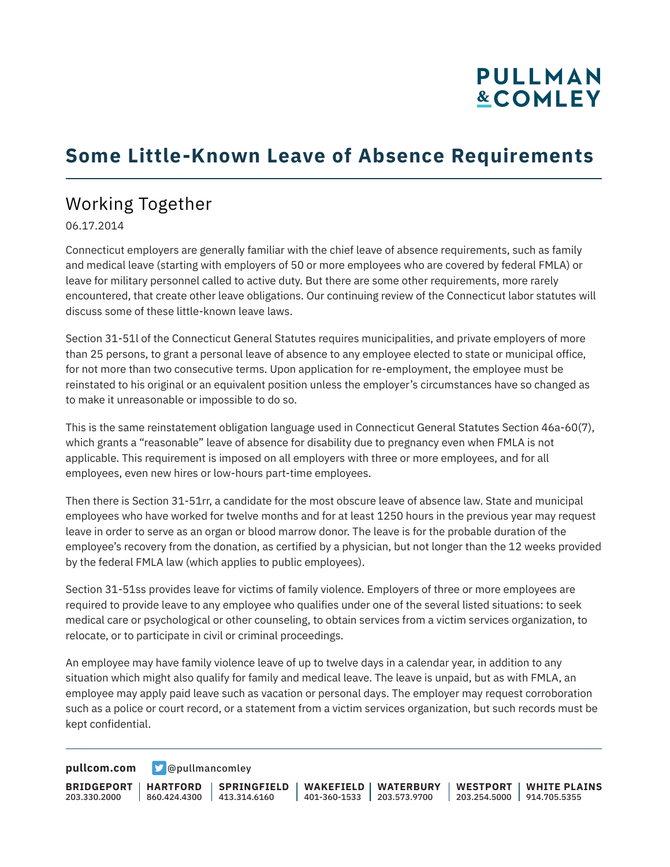## **PULLMAN &COMLEY**

## **Some Little-Known Leave of Absence Requirements**

## Working Together

06.17.2014

Connecticut employers are generally familiar with the chief leave of absence requirements, such as family and medical leave (starting with employers of 50 or more employees who are covered by federal FMLA) or leave for military personnel called to active duty. But there are some other requirements, more rarely encountered, that create other leave obligations. Our continuing review of the Connecticut labor statutes will discuss some of these little-known leave laws.

Section 31-51l of the Connecticut General Statutes requires municipalities, and private employers of more than 25 persons, to grant a personal leave of absence to any employee elected to state or municipal office, for not more than two consecutive terms. Upon application for re-employment, the employee must be reinstated to his original or an equivalent position unless the employer's circumstances have so changed as to make it unreasonable or impossible to do so.

This is the same reinstatement obligation language used in Connecticut General Statutes Section 46a-60(7), which grants a "reasonable" leave of absence for disability due to pregnancy even when FMLA is not applicable. This requirement is imposed on all employers with three or more employees, and for all employees, even new hires or low-hours part-time employees.

Then there is Section 31-51rr, a candidate for the most obscure leave of absence law. State and municipal employees who have worked for twelve months and for at least 1250 hours in the previous year may request leave in order to serve as an organ or blood marrow donor. The leave is for the probable duration of the employee's recovery from the donation, as certified by a physician, but not longer than the 12 weeks provided by the federal FMLA law (which applies to public employees).

Section 31-51ss provides leave for victims of family violence. Employers of three or more employees are required to provide leave to any employee who qualifies under one of the several listed situations: to seek medical care or psychological or other counseling, to obtain services from a victim services organization, to relocate, or to participate in civil or criminal proceedings.

An employee may have family violence leave of up to twelve days in a calendar year, in addition to any situation which might also qualify for family and medical leave. The leave is unpaid, but as with FMLA, an employee may apply paid leave such as vacation or personal days. The employer may request corroboration such as a police or court record, or a statement from a victim services organization, but such records must be kept confidential.

**[pullcom.com](https://www.pullcom.com) g** [@pullmancomley](https://twitter.com/PullmanComley)

**BRIDGEPORT HARTFORD** 203.330.2000 860.424.4300 413.314.6160 **SPRINGFIELD WAKEFIELD WATERBURY** 401-360-1533 203.573.9700 **WESTPORT WHITE PLAINS** 203.254.5000 914.705.5355